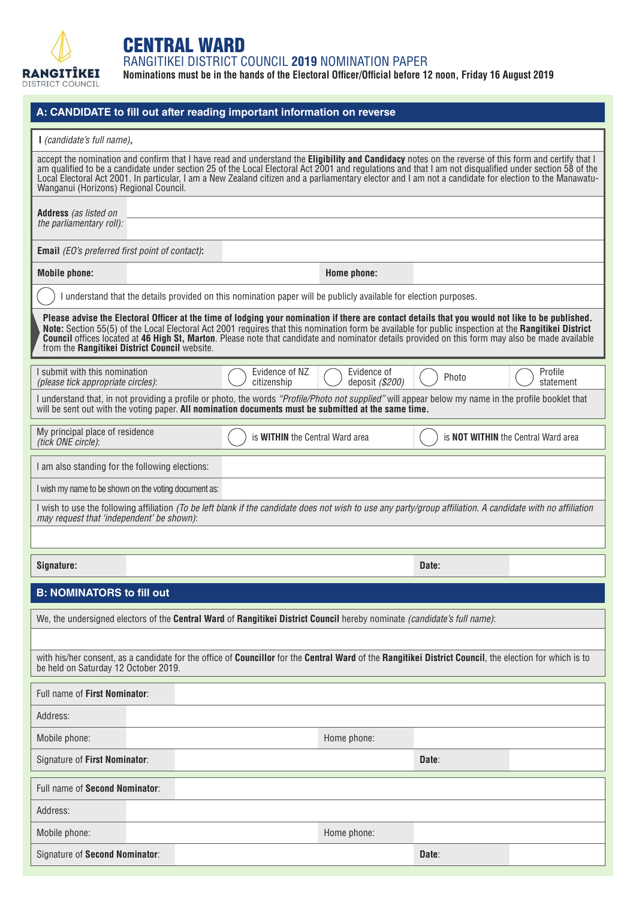

## CENTRAL WARD

RANGITIKEI DISTRICT COUNCIL **2019** NOMINATION PAPER

**Nominations must be in the hands of the Electoral Officer/Official before 12 noon, Friday 16 August 2019**

|                                                                                                                                                                                                                                                                                                                                                                                                                                                                                                                   | A: CANDIDATE to fill out after reading important information on reverse                                                                                                                                                                                      |                                |       |                                            |  |  |
|-------------------------------------------------------------------------------------------------------------------------------------------------------------------------------------------------------------------------------------------------------------------------------------------------------------------------------------------------------------------------------------------------------------------------------------------------------------------------------------------------------------------|--------------------------------------------------------------------------------------------------------------------------------------------------------------------------------------------------------------------------------------------------------------|--------------------------------|-------|--------------------------------------------|--|--|
| I (candidate's full name),                                                                                                                                                                                                                                                                                                                                                                                                                                                                                        |                                                                                                                                                                                                                                                              |                                |       |                                            |  |  |
| accept the nomination and confirm that I have read and understand the Eligibility and Candidacy notes on the reverse of this form and certify that I<br>am qualified to be a candidate under section 25 of the Local Electoral Act 2001 and regulations and that I am not disqualified under section 58 of the<br>Local Electoral Act 2001. In particular, I am a New Zealand citizen and a parliamentary elector and I am not a candidate for election to the Manawatu-<br>Wanganui (Horizons) Regional Council. |                                                                                                                                                                                                                                                              |                                |       |                                            |  |  |
| Address (as listed on                                                                                                                                                                                                                                                                                                                                                                                                                                                                                             |                                                                                                                                                                                                                                                              |                                |       |                                            |  |  |
| the parliamentary roll):                                                                                                                                                                                                                                                                                                                                                                                                                                                                                          |                                                                                                                                                                                                                                                              |                                |       |                                            |  |  |
| <b>Email</b> (EO's preferred first point of contact):                                                                                                                                                                                                                                                                                                                                                                                                                                                             |                                                                                                                                                                                                                                                              |                                |       |                                            |  |  |
| <b>Mobile phone:</b>                                                                                                                                                                                                                                                                                                                                                                                                                                                                                              |                                                                                                                                                                                                                                                              | Home phone:                    |       |                                            |  |  |
|                                                                                                                                                                                                                                                                                                                                                                                                                                                                                                                   | I understand that the details provided on this nomination paper will be publicly available for election purposes.                                                                                                                                            |                                |       |                                            |  |  |
| Please advise the Electoral Officer at the time of lodging your nomination if there are contact details that you would not like to be published.<br>Note: Section 55(5) of the Local Electoral Act 2001 requires that this nomination form be available for public inspection at the Rangitikei District<br>Council offices located at 46 High St, Marton. Please note that candidate and nominator details provided on this form may also be made available<br>from the Rangitikei District Council website.     |                                                                                                                                                                                                                                                              |                                |       |                                            |  |  |
| I submit with this nomination<br>(please tick appropriate circles):                                                                                                                                                                                                                                                                                                                                                                                                                                               | Evidence of NZ<br>citizenship                                                                                                                                                                                                                                | Evidence of<br>deposit (\$200) | Photo | Profile<br>statement                       |  |  |
|                                                                                                                                                                                                                                                                                                                                                                                                                                                                                                                   | I understand that, in not providing a profile or photo, the words "Profile/Photo not supplied" will appear below my name in the profile booklet that<br>will be sent out with the voting paper. All nomination documents must be submitted at the same time. |                                |       |                                            |  |  |
| My principal place of residence<br>(tick ONE circle):                                                                                                                                                                                                                                                                                                                                                                                                                                                             | is <b>WITHIN</b> the Central Ward area                                                                                                                                                                                                                       |                                |       | is <b>NOT WITHIN</b> the Central Ward area |  |  |
| I am also standing for the following elections:                                                                                                                                                                                                                                                                                                                                                                                                                                                                   |                                                                                                                                                                                                                                                              |                                |       |                                            |  |  |
| I wish my name to be shown on the voting document as:                                                                                                                                                                                                                                                                                                                                                                                                                                                             |                                                                                                                                                                                                                                                              |                                |       |                                            |  |  |
| may request that 'independent' be shown):                                                                                                                                                                                                                                                                                                                                                                                                                                                                         | I wish to use the following affiliation (To be left blank if the candidate does not wish to use any party/group affiliation. A candidate with no affiliation                                                                                                 |                                |       |                                            |  |  |
|                                                                                                                                                                                                                                                                                                                                                                                                                                                                                                                   |                                                                                                                                                                                                                                                              |                                |       |                                            |  |  |
| Signature:                                                                                                                                                                                                                                                                                                                                                                                                                                                                                                        |                                                                                                                                                                                                                                                              |                                | Date: |                                            |  |  |
| <b>B: NOMINATORS to fill out</b>                                                                                                                                                                                                                                                                                                                                                                                                                                                                                  |                                                                                                                                                                                                                                                              |                                |       |                                            |  |  |
| We, the undersigned electors of the Central Ward of Rangitikei District Council hereby nominate (candidate's full name):                                                                                                                                                                                                                                                                                                                                                                                          |                                                                                                                                                                                                                                                              |                                |       |                                            |  |  |
| with his/her consent, as a candidate for the office of Councillor for the Central Ward of the Rangitikei District Council, the election for which is to<br>be held on Saturday 12 October 2019.                                                                                                                                                                                                                                                                                                                   |                                                                                                                                                                                                                                                              |                                |       |                                            |  |  |
| Full name of First Nominator:                                                                                                                                                                                                                                                                                                                                                                                                                                                                                     |                                                                                                                                                                                                                                                              |                                |       |                                            |  |  |
| Address:                                                                                                                                                                                                                                                                                                                                                                                                                                                                                                          |                                                                                                                                                                                                                                                              |                                |       |                                            |  |  |
| Mobile phone:                                                                                                                                                                                                                                                                                                                                                                                                                                                                                                     |                                                                                                                                                                                                                                                              | Home phone:                    |       |                                            |  |  |
| Signature of First Nominator:                                                                                                                                                                                                                                                                                                                                                                                                                                                                                     |                                                                                                                                                                                                                                                              |                                | Date: |                                            |  |  |
| Full name of Second Nominator:                                                                                                                                                                                                                                                                                                                                                                                                                                                                                    |                                                                                                                                                                                                                                                              |                                |       |                                            |  |  |
| Address:                                                                                                                                                                                                                                                                                                                                                                                                                                                                                                          |                                                                                                                                                                                                                                                              |                                |       |                                            |  |  |
| Mobile phone:                                                                                                                                                                                                                                                                                                                                                                                                                                                                                                     |                                                                                                                                                                                                                                                              | Home phone:                    |       |                                            |  |  |
| Signature of Second Nominator:                                                                                                                                                                                                                                                                                                                                                                                                                                                                                    |                                                                                                                                                                                                                                                              |                                | Date: |                                            |  |  |